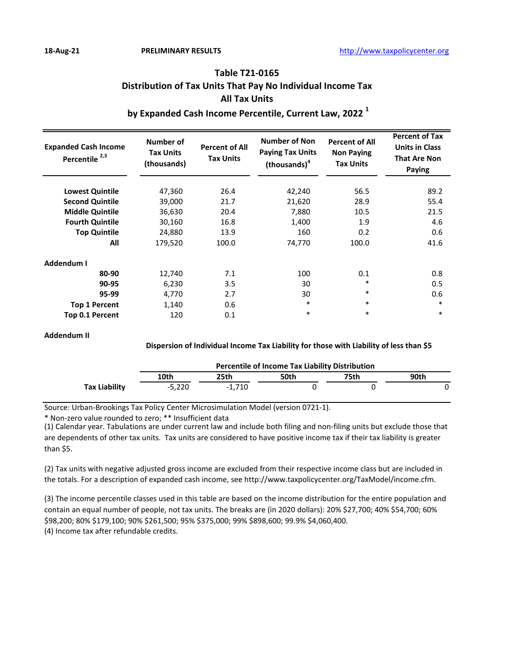# **Table T21-0165 Distribution of Tax Units That Pay No Individual Income Tax All Tax Units**

# **by Expanded Cash Income Percentile, Current Law, 2022 <sup>1</sup>**

| <b>Expanded Cash Income</b><br>Percentile <sup>2,3</sup> | Number of<br><b>Tax Units</b><br>(thousands) | <b>Percent of All</b><br><b>Tax Units</b> | <b>Number of Non</b><br><b>Paying Tax Units</b><br>(thousands) <sup>4</sup> | <b>Percent of All</b><br><b>Non Paying</b><br><b>Tax Units</b> | <b>Percent of Tax</b><br><b>Units in Class</b><br><b>That Are Non</b><br>Paying |
|----------------------------------------------------------|----------------------------------------------|-------------------------------------------|-----------------------------------------------------------------------------|----------------------------------------------------------------|---------------------------------------------------------------------------------|
| <b>Lowest Quintile</b>                                   | 47,360                                       | 26.4                                      | 42,240                                                                      | 56.5                                                           | 89.2                                                                            |
| <b>Second Quintile</b>                                   | 39,000                                       | 21.7                                      | 21,620                                                                      | 28.9                                                           | 55.4                                                                            |
| <b>Middle Quintile</b>                                   | 36,630                                       | 20.4                                      | 7,880                                                                       | 10.5                                                           | 21.5                                                                            |
| <b>Fourth Quintile</b>                                   | 30,160                                       | 16.8                                      | 1,400                                                                       | 1.9                                                            | 4.6                                                                             |
| <b>Top Quintile</b>                                      | 24,880                                       | 13.9                                      | 160                                                                         | 0.2                                                            | 0.6                                                                             |
| All                                                      | 179,520                                      | 100.0                                     | 74,770                                                                      | 100.0                                                          | 41.6                                                                            |
| Addendum I                                               |                                              |                                           |                                                                             |                                                                |                                                                                 |
| 80-90                                                    | 12,740                                       | 7.1                                       | 100                                                                         | 0.1                                                            | 0.8                                                                             |
| 90-95                                                    | 6,230                                        | 3.5                                       | 30                                                                          | *                                                              | 0.5                                                                             |
| 95-99                                                    | 4,770                                        | 2.7                                       | 30                                                                          | $\ast$                                                         | 0.6                                                                             |
| <b>Top 1 Percent</b>                                     | 1,140                                        | 0.6                                       | $\ast$                                                                      | $\ast$                                                         | $\ast$                                                                          |
| Top 0.1 Percent                                          | 120                                          | 0.1                                       | $\ast$                                                                      | *                                                              | $\ast$                                                                          |

#### **Addendum II**

#### **Dispersion of Individual Income Tax Liability for those with Liability of less than \$5**

|               | <b>Percentile of Income Tax Liability Distribution</b> |          |      |      |      |  |  |  |
|---------------|--------------------------------------------------------|----------|------|------|------|--|--|--|
|               | 10th                                                   | 25th     | 50th | 75th | 90th |  |  |  |
| Tax Liability | $-5.220$                                               | $-1.710$ |      |      |      |  |  |  |

Source: Urban-Brookings Tax Policy Center Microsimulation Model (version 0721-1).

\* Non-zero value rounded to zero; \*\* Insufficient data

(1) Calendar year. Tabulations are under current law and include both filing and non-filing units but exclude those that are dependents of other tax units. Tax units are considered to have positive income tax if their tax liability is greater than \$5.

(2) Tax units with negative adjusted gross income are excluded from their respective income class but are included in the totals. For a description of expanded cash income, see http://www.taxpolicycenter.org/TaxModel/income.cfm.

(4) Income tax after refundable credits. (3) The income percentile classes used in this table are based on the income distribution for the entire population and contain an equal number of people, not tax units. The breaks are (in 2020 dollars): 20% \$27,700; 40% \$54,700; 60% \$98,200; 80% \$179,100; 90% \$261,500; 95% \$375,000; 99% \$898,600; 99.9% \$4,060,400.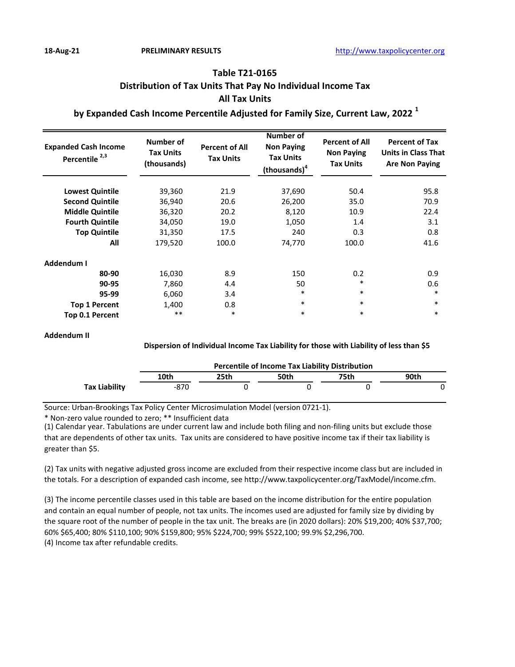# **Table T21-0165 Distribution of Tax Units That Pay No Individual Income Tax All Tax Units**

## **by Expanded Cash Income Percentile Adjusted for Family Size, Current Law, 2022 <sup>1</sup>**

| <b>Expanded Cash Income</b><br>Percentile <sup>2,3</sup> | Number of<br><b>Tax Units</b><br>(thousands) | <b>Percent of All</b><br><b>Tax Units</b> | Number of<br><b>Non Paying</b><br><b>Tax Units</b><br>(thousands) <sup>4</sup> | <b>Percent of All</b><br><b>Non Paying</b><br><b>Tax Units</b> | <b>Percent of Tax</b><br><b>Units in Class That</b><br><b>Are Non Paying</b> |
|----------------------------------------------------------|----------------------------------------------|-------------------------------------------|--------------------------------------------------------------------------------|----------------------------------------------------------------|------------------------------------------------------------------------------|
| <b>Lowest Quintile</b>                                   | 39,360                                       | 21.9                                      | 37,690                                                                         | 50.4                                                           | 95.8                                                                         |
| <b>Second Quintile</b>                                   | 36,940                                       | 20.6                                      | 26,200                                                                         | 35.0                                                           | 70.9                                                                         |
| <b>Middle Quintile</b>                                   | 36,320                                       | 20.2                                      | 8,120                                                                          | 10.9                                                           | 22.4                                                                         |
| <b>Fourth Quintile</b>                                   | 34,050                                       | 19.0                                      | 1,050                                                                          | 1.4                                                            | 3.1                                                                          |
| <b>Top Quintile</b>                                      | 31,350                                       | 17.5                                      | 240                                                                            | 0.3                                                            | 0.8                                                                          |
| All                                                      | 179,520                                      | 100.0                                     | 74,770                                                                         | 100.0                                                          | 41.6                                                                         |
| Addendum I                                               |                                              |                                           |                                                                                |                                                                |                                                                              |
| 80-90                                                    | 16,030                                       | 8.9                                       | 150                                                                            | 0.2                                                            | 0.9                                                                          |
| 90-95                                                    | 7,860                                        | 4.4                                       | 50                                                                             | *                                                              | 0.6                                                                          |
| 95-99                                                    | 6,060                                        | 3.4                                       | $\ast$                                                                         | $\ast$                                                         | $\ast$                                                                       |
| <b>Top 1 Percent</b>                                     | 1,400                                        | 0.8                                       | $\ast$                                                                         | $\ast$                                                         | $\ast$                                                                       |
| Top 0.1 Percent                                          | $***$                                        | $\ast$                                    | $\ast$                                                                         | $\ast$                                                         | $\ast$                                                                       |

#### **Addendum II**

#### **Dispersion of Individual Income Tax Liability for those with Liability of less than \$5**

|               | <b>Percentile of Income Tax Liability Distribution</b> |      |      |      |      |  |  |  |
|---------------|--------------------------------------------------------|------|------|------|------|--|--|--|
|               | 10th                                                   | 25th | 50th | 75th | 90th |  |  |  |
| Tax Liability | -870                                                   |      |      |      |      |  |  |  |

Source: Urban-Brookings Tax Policy Center Microsimulation Model (version 0721-1).

\* Non-zero value rounded to zero; \*\* Insufficient data

(1) Calendar year. Tabulations are under current law and include both filing and non-filing units but exclude those that are dependents of other tax units. Tax units are considered to have positive income tax if their tax liability is greater than \$5.

(2) Tax units with negative adjusted gross income are excluded from their respective income class but are included in the totals. For a description of expanded cash income, see http://www.taxpolicycenter.org/TaxModel/income.cfm.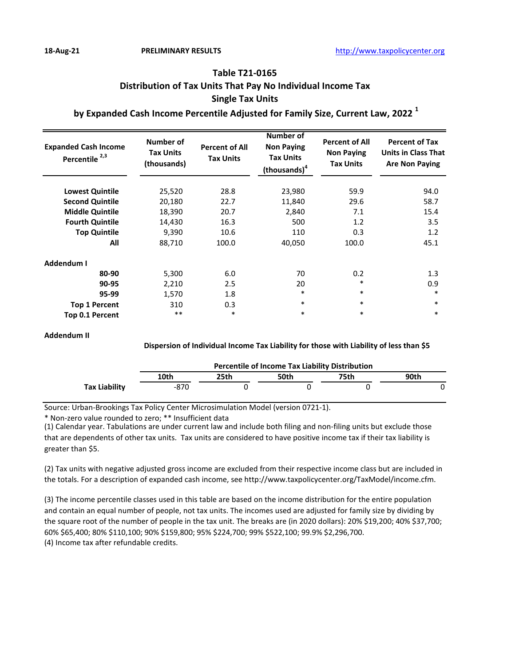# **Table T21-0165 Distribution of Tax Units That Pay No Individual Income Tax Single Tax Units**

## **by Expanded Cash Income Percentile Adjusted for Family Size, Current Law, 2022 <sup>1</sup>**

| <b>Expanded Cash Income</b><br>Percentile <sup>2,3</sup> | Number of<br><b>Tax Units</b><br>(thousands) | <b>Percent of All</b><br><b>Tax Units</b> | Number of<br><b>Non Paying</b><br><b>Tax Units</b><br>(thousands) <sup>4</sup> | <b>Percent of All</b><br><b>Non Paying</b><br><b>Tax Units</b> | <b>Percent of Tax</b><br><b>Units in Class That</b><br><b>Are Non Paying</b> |
|----------------------------------------------------------|----------------------------------------------|-------------------------------------------|--------------------------------------------------------------------------------|----------------------------------------------------------------|------------------------------------------------------------------------------|
| <b>Lowest Quintile</b>                                   | 25,520                                       | 28.8                                      | 23,980                                                                         | 59.9                                                           | 94.0                                                                         |
| <b>Second Quintile</b>                                   | 20,180                                       | 22.7                                      | 11,840                                                                         | 29.6                                                           | 58.7                                                                         |
| <b>Middle Quintile</b>                                   | 18,390                                       | 20.7                                      | 2,840                                                                          | 7.1                                                            | 15.4                                                                         |
| <b>Fourth Quintile</b>                                   | 14,430                                       | 16.3                                      | 500                                                                            | 1.2                                                            | 3.5                                                                          |
| <b>Top Quintile</b>                                      | 9,390                                        | 10.6                                      | 110                                                                            | 0.3                                                            | 1.2                                                                          |
| All                                                      | 88,710                                       | 100.0                                     | 40,050                                                                         | 100.0                                                          | 45.1                                                                         |
| Addendum I                                               |                                              |                                           |                                                                                |                                                                |                                                                              |
| 80-90                                                    | 5,300                                        | 6.0                                       | 70                                                                             | 0.2                                                            | 1.3                                                                          |
| 90-95                                                    | 2,210                                        | 2.5                                       | 20                                                                             | $\ast$                                                         | 0.9                                                                          |
| 95-99                                                    | 1,570                                        | 1.8                                       | *                                                                              | $\ast$                                                         | $\ast$                                                                       |
| <b>Top 1 Percent</b>                                     | 310                                          | 0.3                                       | $\ast$                                                                         | $\ast$                                                         | $\ast$                                                                       |
| Top 0.1 Percent                                          | $***$                                        | $\ast$                                    | $\ast$                                                                         | $\ast$                                                         | $\ast$                                                                       |

#### **Addendum II**

#### **Dispersion of Individual Income Tax Liability for those with Liability of less than \$5**

|                      | <b>Percentile of Income Tax Liability Distribution</b> |      |      |      |      |  |  |  |
|----------------------|--------------------------------------------------------|------|------|------|------|--|--|--|
|                      | 10th                                                   | 25th | 50th | 75th | 90th |  |  |  |
| <b>Tax Liability</b> | -870                                                   |      |      |      |      |  |  |  |

Source: Urban-Brookings Tax Policy Center Microsimulation Model (version 0721-1).

\* Non-zero value rounded to zero; \*\* Insufficient data

(1) Calendar year. Tabulations are under current law and include both filing and non-filing units but exclude those that are dependents of other tax units. Tax units are considered to have positive income tax if their tax liability is greater than \$5.

(2) Tax units with negative adjusted gross income are excluded from their respective income class but are included in the totals. For a description of expanded cash income, see http://www.taxpolicycenter.org/TaxModel/income.cfm.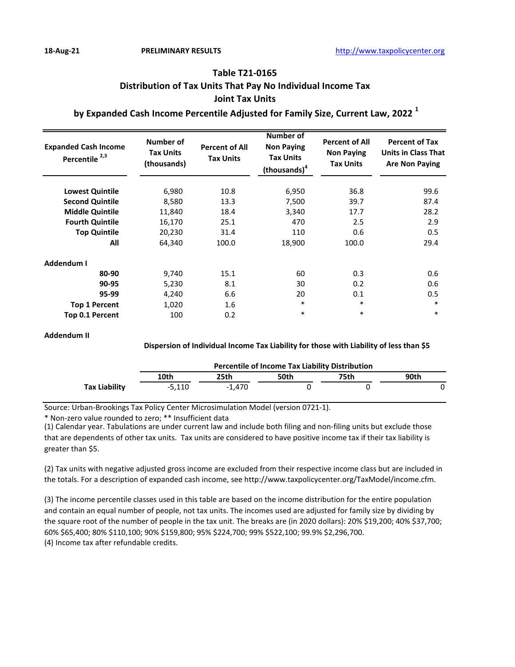# **Table T21-0165 Distribution of Tax Units That Pay No Individual Income Tax Joint Tax Units**

## **by Expanded Cash Income Percentile Adjusted for Family Size, Current Law, 2022 <sup>1</sup>**

| <b>Expanded Cash Income</b><br>Percentile <sup>2,3</sup> | Number of<br><b>Tax Units</b><br>(thousands) | <b>Percent of All</b><br><b>Tax Units</b> | Number of<br><b>Non Paying</b><br><b>Tax Units</b><br>(thousands) <sup>4</sup> | <b>Percent of All</b><br><b>Non Paying</b><br><b>Tax Units</b> | <b>Percent of Tax</b><br><b>Units in Class That</b><br><b>Are Non Paying</b> |
|----------------------------------------------------------|----------------------------------------------|-------------------------------------------|--------------------------------------------------------------------------------|----------------------------------------------------------------|------------------------------------------------------------------------------|
| <b>Lowest Quintile</b>                                   | 6,980                                        | 10.8                                      | 6,950                                                                          | 36.8                                                           | 99.6                                                                         |
| <b>Second Quintile</b>                                   | 8,580                                        | 13.3                                      | 7,500                                                                          | 39.7                                                           | 87.4                                                                         |
| <b>Middle Quintile</b>                                   | 11,840                                       | 18.4                                      | 3,340                                                                          | 17.7                                                           | 28.2                                                                         |
| <b>Fourth Quintile</b>                                   | 16,170                                       | 25.1                                      | 470                                                                            | 2.5                                                            | 2.9                                                                          |
| <b>Top Quintile</b>                                      | 20,230                                       | 31.4                                      | 110                                                                            | 0.6                                                            | 0.5                                                                          |
| All                                                      | 64,340                                       | 100.0                                     | 18,900                                                                         | 100.0                                                          | 29.4                                                                         |
| Addendum I                                               |                                              |                                           |                                                                                |                                                                |                                                                              |
| 80-90                                                    | 9,740                                        | 15.1                                      | 60                                                                             | 0.3                                                            | 0.6                                                                          |
| 90-95                                                    | 5,230                                        | 8.1                                       | 30                                                                             | 0.2                                                            | 0.6                                                                          |
| 95-99                                                    | 4,240                                        | 6.6                                       | 20                                                                             | 0.1                                                            | 0.5                                                                          |
| <b>Top 1 Percent</b>                                     | 1,020                                        | 1.6                                       | $\ast$                                                                         | $\ast$                                                         | $\ast$                                                                       |
| <b>Top 0.1 Percent</b>                                   | 100                                          | 0.2                                       | $\ast$                                                                         | $\ast$                                                         | $\ast$                                                                       |

#### **Addendum II**

#### **Dispersion of Individual Income Tax Liability for those with Liability of less than \$5**

|                      | <b>Percentile of Income Tax Liability Distribution</b> |          |      |      |      |  |  |  |
|----------------------|--------------------------------------------------------|----------|------|------|------|--|--|--|
|                      | 10th                                                   | 25th     | 50th | 75th | 90th |  |  |  |
| <b>Tax Liability</b> | -5.110                                                 | $-1.470$ |      |      |      |  |  |  |

Source: Urban-Brookings Tax Policy Center Microsimulation Model (version 0721-1).

\* Non-zero value rounded to zero; \*\* Insufficient data

(1) Calendar year. Tabulations are under current law and include both filing and non-filing units but exclude those that are dependents of other tax units. Tax units are considered to have positive income tax if their tax liability is greater than \$5.

(2) Tax units with negative adjusted gross income are excluded from their respective income class but are included in the totals. For a description of expanded cash income, see http://www.taxpolicycenter.org/TaxModel/income.cfm.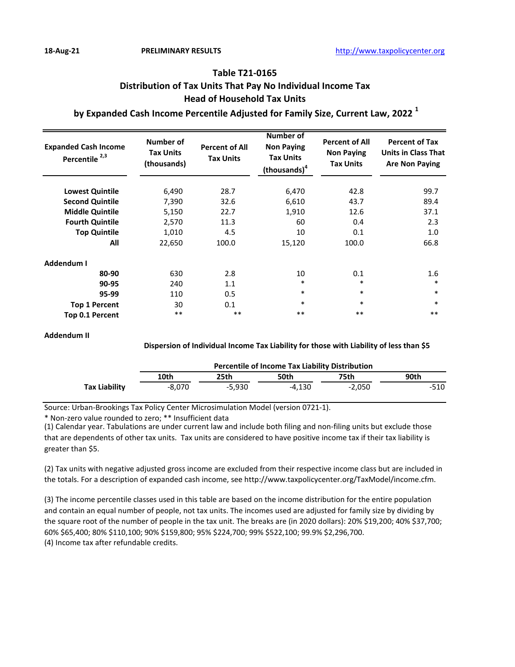# **Table T21-0165 Distribution of Tax Units That Pay No Individual Income Tax Head of Household Tax Units**

## **by Expanded Cash Income Percentile Adjusted for Family Size, Current Law, 2022 <sup>1</sup>**

| <b>Expanded Cash Income</b><br>Percentile <sup>2,3</sup> | <b>Number of</b><br><b>Tax Units</b><br>(thousands) | <b>Percent of All</b><br><b>Tax Units</b> | Number of<br><b>Non Paying</b><br><b>Tax Units</b><br>(thousands) <sup>4</sup> | <b>Percent of All</b><br><b>Non Paying</b><br><b>Tax Units</b> | <b>Percent of Tax</b><br><b>Units in Class That</b><br><b>Are Non Paying</b> |
|----------------------------------------------------------|-----------------------------------------------------|-------------------------------------------|--------------------------------------------------------------------------------|----------------------------------------------------------------|------------------------------------------------------------------------------|
| <b>Lowest Quintile</b>                                   | 6,490                                               | 28.7                                      | 6,470                                                                          | 42.8                                                           | 99.7                                                                         |
| <b>Second Quintile</b>                                   | 7,390                                               | 32.6                                      | 6,610                                                                          | 43.7                                                           | 89.4                                                                         |
| <b>Middle Quintile</b>                                   | 5,150                                               | 22.7                                      | 1,910                                                                          | 12.6                                                           | 37.1                                                                         |
| <b>Fourth Quintile</b>                                   | 2,570                                               | 11.3                                      | 60                                                                             | 0.4                                                            | 2.3                                                                          |
| <b>Top Quintile</b>                                      | 1,010                                               | 4.5                                       | 10                                                                             | 0.1                                                            | 1.0                                                                          |
| All                                                      | 22,650                                              | 100.0                                     | 15,120                                                                         | 100.0                                                          | 66.8                                                                         |
| Addendum I                                               |                                                     |                                           |                                                                                |                                                                |                                                                              |
| 80-90                                                    | 630                                                 | 2.8                                       | 10                                                                             | 0.1                                                            | 1.6                                                                          |
| 90-95                                                    | 240                                                 | 1.1                                       | *                                                                              | $\ast$                                                         | $\ast$                                                                       |
| 95-99                                                    | 110                                                 | 0.5                                       | *                                                                              | $\ast$                                                         | $\ast$                                                                       |
| <b>Top 1 Percent</b>                                     | 30                                                  | 0.1                                       | $\ast$                                                                         | $\ast$                                                         | $\ast$                                                                       |
| Top 0.1 Percent                                          | $***$                                               | $***$                                     | $***$                                                                          | $***$                                                          | $***$                                                                        |

#### **Addendum II**

#### **Dispersion of Individual Income Tax Liability for those with Liability of less than \$5**

|               | <b>Percentile of Income Tax Liability Distribution</b> |          |        |          |      |  |  |
|---------------|--------------------------------------------------------|----------|--------|----------|------|--|--|
|               | 10th                                                   | 25th     | 50th   | 75th     | 90th |  |  |
| Tax Liability | -8.070                                                 | $-5.930$ | -4.130 | $-2.050$ | -510 |  |  |

Source: Urban-Brookings Tax Policy Center Microsimulation Model (version 0721-1).

\* Non-zero value rounded to zero; \*\* Insufficient data

(1) Calendar year. Tabulations are under current law and include both filing and non-filing units but exclude those that are dependents of other tax units. Tax units are considered to have positive income tax if their tax liability is greater than \$5.

(2) Tax units with negative adjusted gross income are excluded from their respective income class but are included in the totals. For a description of expanded cash income, see http://www.taxpolicycenter.org/TaxModel/income.cfm.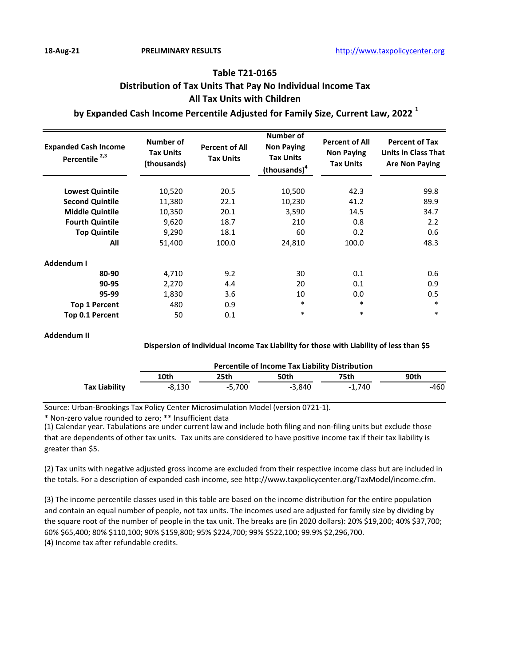# **Table T21-0165 Distribution of Tax Units That Pay No Individual Income Tax All Tax Units with Children**

## **by Expanded Cash Income Percentile Adjusted for Family Size, Current Law, 2022 <sup>1</sup>**

| <b>Expanded Cash Income</b><br>Percentile <sup>2,3</sup> | Number of<br><b>Tax Units</b><br>(thousands) | <b>Percent of All</b><br><b>Tax Units</b> | <b>Number of</b><br><b>Non Paying</b><br><b>Tax Units</b><br>(thousands) <sup>4</sup> | <b>Percent of All</b><br><b>Non Paying</b><br><b>Tax Units</b> | <b>Percent of Tax</b><br><b>Units in Class That</b><br><b>Are Non Paying</b> |
|----------------------------------------------------------|----------------------------------------------|-------------------------------------------|---------------------------------------------------------------------------------------|----------------------------------------------------------------|------------------------------------------------------------------------------|
| <b>Lowest Quintile</b>                                   | 10,520                                       | 20.5                                      | 10,500                                                                                | 42.3                                                           | 99.8                                                                         |
| <b>Second Quintile</b>                                   | 11,380                                       | 22.1                                      | 10,230                                                                                | 41.2                                                           | 89.9                                                                         |
| <b>Middle Quintile</b>                                   | 10,350                                       | 20.1                                      | 3,590                                                                                 | 14.5                                                           | 34.7                                                                         |
| <b>Fourth Quintile</b>                                   | 9,620                                        | 18.7                                      | 210                                                                                   | 0.8                                                            | 2.2                                                                          |
| <b>Top Quintile</b>                                      | 9,290                                        | 18.1                                      | 60                                                                                    | 0.2                                                            | 0.6                                                                          |
| All                                                      | 51,400                                       | 100.0                                     | 24,810                                                                                | 100.0                                                          | 48.3                                                                         |
| Addendum I                                               |                                              |                                           |                                                                                       |                                                                |                                                                              |
| 80-90                                                    | 4,710                                        | 9.2                                       | 30                                                                                    | 0.1                                                            | 0.6                                                                          |
| 90-95                                                    | 2,270                                        | 4.4                                       | 20                                                                                    | 0.1                                                            | 0.9                                                                          |
| 95-99                                                    | 1,830                                        | 3.6                                       | 10                                                                                    | 0.0                                                            | 0.5                                                                          |
| <b>Top 1 Percent</b>                                     | 480                                          | 0.9                                       | $\ast$                                                                                | $\ast$                                                         | $\ast$                                                                       |
| <b>Top 0.1 Percent</b>                                   | 50                                           | 0.1                                       | $\ast$                                                                                | $\ast$                                                         | $\ast$                                                                       |

#### **Addendum II**

#### **Dispersion of Individual Income Tax Liability for those with Liability of less than \$5**

|                      | <b>Percentile of Income Tax Liability Distribution</b> |          |          |          |      |  |  |
|----------------------|--------------------------------------------------------|----------|----------|----------|------|--|--|
|                      | 10th                                                   | 25th     | 50th     | 75th     | 90th |  |  |
| <b>Tax Liability</b> | -8.130                                                 | $-5.700$ | $-3.840$ | $-1.740$ | -460 |  |  |

Source: Urban-Brookings Tax Policy Center Microsimulation Model (version 0721-1).

\* Non-zero value rounded to zero; \*\* Insufficient data

(1) Calendar year. Tabulations are under current law and include both filing and non-filing units but exclude those that are dependents of other tax units. Tax units are considered to have positive income tax if their tax liability is greater than \$5.

(2) Tax units with negative adjusted gross income are excluded from their respective income class but are included in the totals. For a description of expanded cash income, see http://www.taxpolicycenter.org/TaxModel/income.cfm.